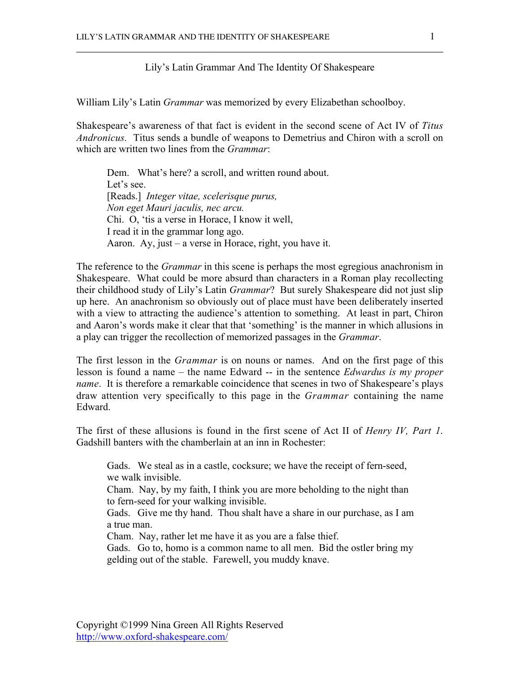## Lily's Latin Grammar And The Identity Of Shakespeare

\_\_\_\_\_\_\_\_\_\_\_\_\_\_\_\_\_\_\_\_\_\_\_\_\_\_\_\_\_\_\_\_\_\_\_\_\_\_\_\_\_\_\_\_\_\_\_\_\_\_\_\_\_\_\_\_\_\_\_\_\_\_\_\_\_\_\_\_\_\_\_\_

William Lily's Latin *Grammar* was memorized by every Elizabethan schoolboy.

Shakespeare's awareness of that fact is evident in the second scene of Act IV of *Titus Andronicus.* Titus sends a bundle of weapons to Demetrius and Chiron with a scroll on which are written two lines from the *Grammar*:

Dem. What's here? a scroll, and written round about. Let's see. [Reads.] *Integer vitae, scelerisque purus, Non eget Mauri jaculis, nec arcu.* Chi. O, 'tis a verse in Horace, I know it well, I read it in the grammar long ago. Aaron. Ay, just – a verse in Horace, right, you have it.

The reference to the *Grammar* in this scene is perhaps the most egregious anachronism in Shakespeare. What could be more absurd than characters in a Roman play recollecting their childhood study of Lily's Latin *Grammar*? But surely Shakespeare did not just slip up here. An anachronism so obviously out of place must have been deliberately inserted with a view to attracting the audience's attention to something. At least in part, Chiron and Aaron's words make it clear that that 'something' is the manner in which allusions in a play can trigger the recollection of memorized passages in the *Grammar*.

The first lesson in the *Grammar* is on nouns or names. And on the first page of this lesson is found a name – the name Edward -- in the sentence *Edwardus is my proper name*. It is therefore a remarkable coincidence that scenes in two of Shakespeare's plays draw attention very specifically to this page in the *Grammar* containing the name Edward.

The first of these allusions is found in the first scene of Act II of *Henry IV, Part 1*. Gadshill banters with the chamberlain at an inn in Rochester:

Gads. We steal as in a castle, cocksure; we have the receipt of fern-seed, we walk invisible.

Cham. Nay, by my faith, I think you are more beholding to the night than to fern-seed for your walking invisible.

Gads. Give me thy hand. Thou shalt have a share in our purchase, as I am a true man.

Cham. Nay, rather let me have it as you are a false thief.

Gads. Go to, homo is a common name to all men. Bid the ostler bring my gelding out of the stable. Farewell, you muddy knave.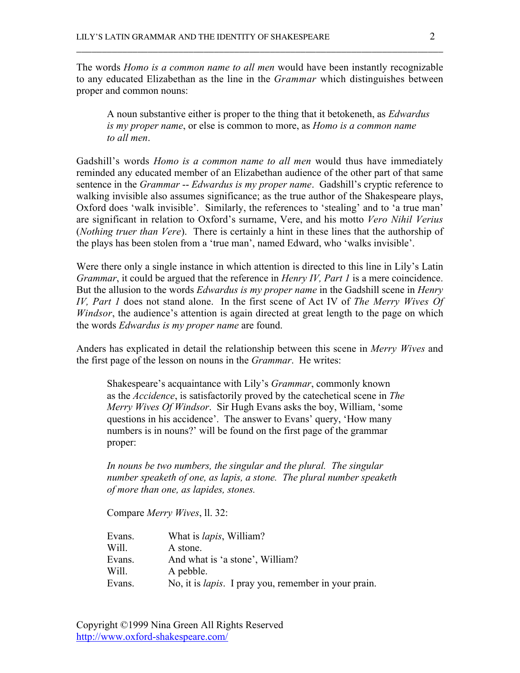The words *Homo is a common name to all men* would have been instantly recognizable to any educated Elizabethan as the line in the *Grammar* which distinguishes between proper and common nouns:

\_\_\_\_\_\_\_\_\_\_\_\_\_\_\_\_\_\_\_\_\_\_\_\_\_\_\_\_\_\_\_\_\_\_\_\_\_\_\_\_\_\_\_\_\_\_\_\_\_\_\_\_\_\_\_\_\_\_\_\_\_\_\_\_\_\_\_\_\_\_\_\_

A noun substantive either is proper to the thing that it betokeneth, as *Edwardus is my proper name*, or else is common to more, as *Homo is a common name to all men*.

Gadshill's words *Homo is a common name to all men* would thus have immediately reminded any educated member of an Elizabethan audience of the other part of that same sentence in the *Grammar* -- *Edwardus is my proper name*. Gadshill's cryptic reference to walking invisible also assumes significance; as the true author of the Shakespeare plays, Oxford does 'walk invisible'. Similarly, the references to 'stealing' and to 'a true man' are significant in relation to Oxford's surname, Vere, and his motto *Vero Nihil Verius* (*Nothing truer than Vere*). There is certainly a hint in these lines that the authorship of the plays has been stolen from a 'true man', named Edward, who 'walks invisible'.

Were there only a single instance in which attention is directed to this line in Lily's Latin *Grammar*, it could be argued that the reference in *Henry IV, Part 1* is a mere coincidence. But the allusion to the words *Edwardus is my proper name* in the Gadshill scene in *Henry IV, Part 1* does not stand alone. In the first scene of Act IV of *The Merry Wives Of Windsor*, the audience's attention is again directed at great length to the page on which the words *Edwardus is my proper name* are found.

Anders has explicated in detail the relationship between this scene in *Merry Wives* and the first page of the lesson on nouns in the *Grammar*. He writes:

Shakespeare's acquaintance with Lily's *Grammar*, commonly known as the *Accidence*, is satisfactorily proved by the catechetical scene in *The Merry Wives Of Windsor*. Sir Hugh Evans asks the boy, William, 'some questions in his accidence'. The answer to Evans' query, 'How many numbers is in nouns?' will be found on the first page of the grammar proper:

*In nouns be two numbers, the singular and the plural. The singular number speaketh of one, as lapis, a stone. The plural number speaketh of more than one, as lapides, stones.*

Compare *Merry Wives*, ll. 32:

| What is <i>lapis</i> , William?                              |
|--------------------------------------------------------------|
| A stone.                                                     |
| And what is 'a stone', William?                              |
| A pebble.                                                    |
| No, it is <i>lapis</i> . I pray you, remember in your prain. |
|                                                              |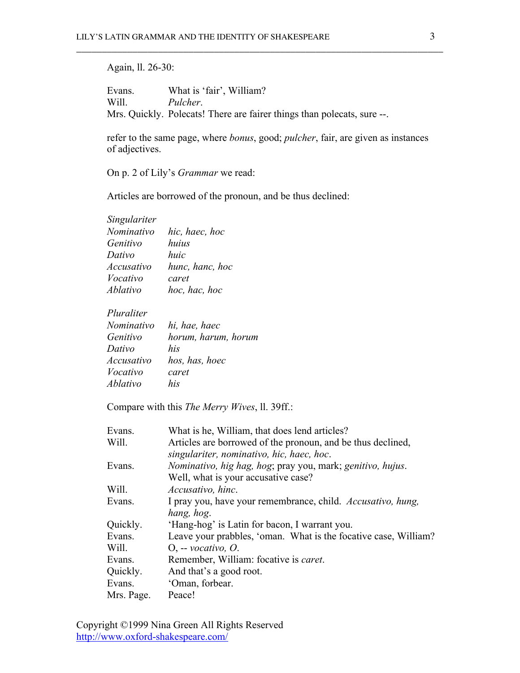## Again, ll. 26-30:

Evans. What is 'fair', William? Will. *Pulcher*. Mrs. Quickly. Polecats! There are fairer things than polecats, sure --.

\_\_\_\_\_\_\_\_\_\_\_\_\_\_\_\_\_\_\_\_\_\_\_\_\_\_\_\_\_\_\_\_\_\_\_\_\_\_\_\_\_\_\_\_\_\_\_\_\_\_\_\_\_\_\_\_\_\_\_\_\_\_\_\_\_\_\_\_\_\_\_\_

refer to the same page, where *bonus*, good; *pulcher*, fair, are given as instances of adjectives.

On p. 2 of Lily's *Grammar* we read:

Articles are borrowed of the pronoun, and be thus declined:

| Singulariter |                 |
|--------------|-----------------|
| Nominativo   | hic, haec, hoc  |
| Genitivo     | huius           |
| Dativo       | huic            |
| Accusativo   | hunc, hanc, hoc |
| Vocativo     | caret           |
| Ablativo     | hoc, hac, hoc   |
|              |                 |

*Pluraliter*

| Nominativo | hi, hae, haec       |
|------------|---------------------|
| Genitivo   | horum, harum, horum |
| Dativo     | his                 |
| Accusativo | hos, has, hoec      |
| Vocativo   | caret               |
| Ablativo   | his                 |

Compare with this *The Merry Wives*, ll. 39ff.:

| Evans.     | What is he, William, that does lend articles?                   |
|------------|-----------------------------------------------------------------|
| Will.      | Articles are borrowed of the pronoun, and be thus declined,     |
|            | singulariter, nominativo, hic, haec, hoc.                       |
| Evans.     | Nominativo, hig hag, hog; pray you, mark; genitivo, hujus.      |
|            | Well, what is your accusative case?                             |
| Will.      | Accusativo, hinc.                                               |
| Evans.     | I pray you, have your remembrance, child. Accusativo, hung,     |
|            | hang, hog.                                                      |
| Quickly.   | 'Hang-hog' is Latin for bacon, I warrant you.                   |
| Evans.     | Leave your prabbles, 'oman. What is the focative case, William? |
| Will.      | $O1$ -- vocativo, $O2$                                          |
| Evans.     | Remember, William: focative is <i>caret</i> .                   |
| Quickly.   | And that's a good root.                                         |
| Evans.     | 'Oman, forbear.                                                 |
| Mrs. Page. | Peace!                                                          |

Copyright ©1999 Nina Green All Rights Reserved http://www.oxford-shakespeare.com/